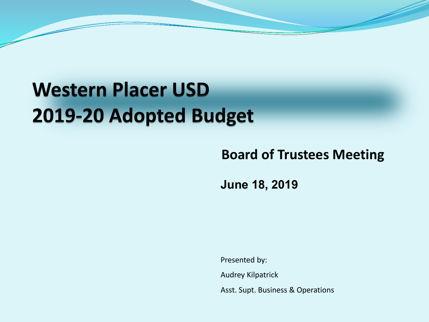## **Western Placer USD** 2019-20 Adopted Budget

### **Board of Trustees Meeting**

**June 18, 2019**

Presented by: Audrey Kilpatrick Asst. Supt. Business & Operations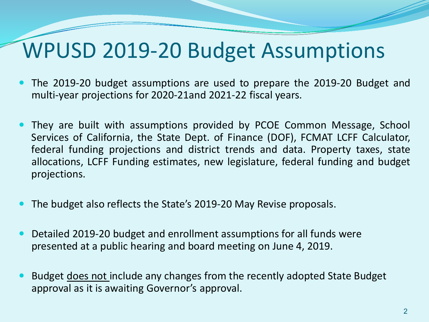## WPUSD 2019-20 Budget Assumptions

- The 2019-20 budget assumptions are used to prepare the 2019-20 Budget and multi-year projections for 2020-21and 2021-22 fiscal years.
- They are built with assumptions provided by PCOE Common Message, School Services of California, the State Dept. of Finance (DOF), FCMAT LCFF Calculator, federal funding projections and district trends and data. Property taxes, state allocations, LCFF Funding estimates, new legislature, federal funding and budget projections.
- The budget also reflects the State's 2019-20 May Revise proposals.
- Detailed 2019-20 budget and enrollment assumptions for all funds were presented at a public hearing and board meeting on June 4, 2019.
- Budget does not include any changes from the recently adopted State Budget approval as it is awaiting Governor's approval.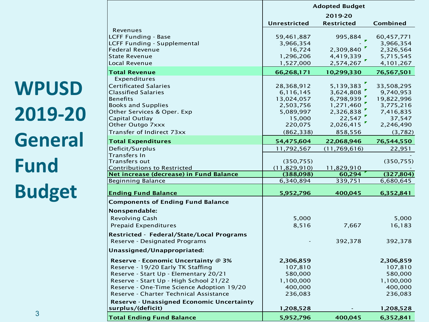**WPUSD 2019-20 General Fund Budget**

3

|                                                  | <b>Adopted Budget</b>        |                     |                     |  |  |  |
|--------------------------------------------------|------------------------------|---------------------|---------------------|--|--|--|
|                                                  |                              | 2019-20             |                     |  |  |  |
|                                                  | <b>Unrestricted</b>          | <b>Restricted</b>   | Combined            |  |  |  |
| Revenues                                         |                              |                     |                     |  |  |  |
| <b>LCFF Funding - Base</b>                       | 59,461,887                   | 995,884             | 60,457,771          |  |  |  |
| <b>LCFF Funding - Supplemental</b>               | 3,966,354                    |                     | 3,966,354           |  |  |  |
| <b>Federal Revenue</b>                           | 16,724                       | 2,309,840           | 2,326,564           |  |  |  |
| <b>State Revenue</b>                             | 1,296,206                    | 4,419,339           | 5,715,545           |  |  |  |
| Local Revenue                                    | 1,527,000                    | 2,574,267           | 4,101,267           |  |  |  |
| <b>Total Revenue</b>                             | 66,268,171                   | 10,299,330          | 76,567,501          |  |  |  |
| Expenditures                                     |                              |                     |                     |  |  |  |
| <b>Certificated Salaries</b>                     | 28,368,912                   | 5,139,383           | 33,508,295          |  |  |  |
| <b>Classified Salaries</b>                       | 6,116,145                    | 3,624,808           | 9,740,953           |  |  |  |
| <b>Benefits</b>                                  | 13,024,057                   | 6,798,939           | 19,822,996          |  |  |  |
| <b>Books and Supplies</b>                        | 2,503,756                    | 1,271,460           | 3,775,216           |  |  |  |
| Other Services & Oper. Exp<br>Capital Outlay     | 5,089,997<br>15,000          | 2,326,838<br>22,547 | 7,416,835<br>37,547 |  |  |  |
| Other Outgo 7xxx                                 | 220,075                      | 2,026,415           | 2,246,490           |  |  |  |
| Transfer of Indirect 73xx                        |                              |                     |                     |  |  |  |
|                                                  | (862, 338)                   | 858,556             | (3,782)             |  |  |  |
| <b>Total Expenditures</b>                        | 54,475,604                   | 22,068,946          | 76,544,550          |  |  |  |
| Deficit/Surplus                                  | 11,792,567                   | (11, 769, 616)      | 22,951              |  |  |  |
| Transfers In<br><b>Transfers out</b>             |                              |                     |                     |  |  |  |
| <b>Contributions to Restricted</b>               | (350, 755)<br>(11, 829, 910) | 11,829,910          | (350, 755)          |  |  |  |
| Net increase (decrease) in Fund Balance          | (388,098)                    | 60,294              | (327, 804)          |  |  |  |
| <b>Beginning Balance</b>                         | 6,340,894                    | 339,751             | 6,680,645           |  |  |  |
|                                                  |                              |                     |                     |  |  |  |
| <b>Ending Fund Balance</b>                       | 5,952,796                    | 400,045             | 6,352,841           |  |  |  |
| <b>Components of Ending Fund Balance</b>         |                              |                     |                     |  |  |  |
| Nonspendable:                                    |                              |                     |                     |  |  |  |
| <b>Revolving Cash</b>                            | 5,000                        |                     | 5,000               |  |  |  |
| <b>Prepaid Expenditures</b>                      | 8,516                        | 7,667               | 16,183              |  |  |  |
| Restricted - Federal/State/Local Programs        |                              |                     |                     |  |  |  |
| Reserve - Designated Programs                    |                              | 392,378             | 392,378             |  |  |  |
|                                                  |                              |                     |                     |  |  |  |
| Unassigned/Unappropriated:                       |                              |                     |                     |  |  |  |
| Reserve - Economic Uncertainty @ 3%              | 2,306,859                    |                     | 2,306,859           |  |  |  |
| Reserve - 19/20 Early TK Staffing                | 107,810                      |                     | 107,810             |  |  |  |
| Reserve - Start Up - Elementary 20/21            | 580,000                      |                     | 580,000             |  |  |  |
| Reserve - Start Up - High School 21/22           | 1,100,000                    |                     | 1,100,000           |  |  |  |
| Reserve - One-Time Science Adoption 19/20        | 400,000                      |                     | 400,000             |  |  |  |
| Reserve - Charter Technical Assistance           | 236,083                      |                     | 236,083             |  |  |  |
| <b>Reserve - Unassigned Economic Uncertainty</b> |                              |                     |                     |  |  |  |
| surplus/(deficit)                                | 1,208,528                    |                     | 1,208,528           |  |  |  |
| <b>Total Ending Fund Balance</b>                 | 5,952,796                    | 400,045             | 6,352,841           |  |  |  |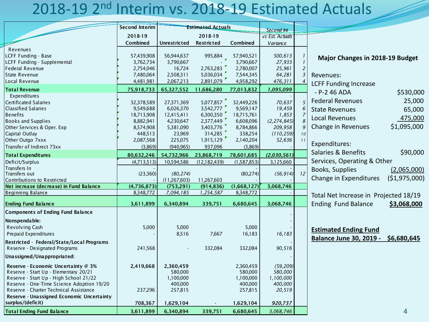## 2018-19 2nd Interim vs. 2018-19 Estimated Actuals

|                                                                                                                                                                                                                                                            | <b>Second Interim</b>                                                                   |                                                                                      | <b>Estimated Actuals</b>                                                                           |                                                                                         | Second Int                                                                    |                     |                                                                                                                                                                |
|------------------------------------------------------------------------------------------------------------------------------------------------------------------------------------------------------------------------------------------------------------|-----------------------------------------------------------------------------------------|--------------------------------------------------------------------------------------|----------------------------------------------------------------------------------------------------|-----------------------------------------------------------------------------------------|-------------------------------------------------------------------------------|---------------------|----------------------------------------------------------------------------------------------------------------------------------------------------------------|
|                                                                                                                                                                                                                                                            | 2018-19                                                                                 |                                                                                      | 2018-19                                                                                            |                                                                                         | vs Est. Actuals                                                               |                     |                                                                                                                                                                |
|                                                                                                                                                                                                                                                            | Combined                                                                                | <b>Unrestricted</b>                                                                  | Restricted                                                                                         | Combined                                                                                | Variance                                                                      |                     |                                                                                                                                                                |
| Revenues<br>LCFF Funding - Base<br>LCFF Funding - Supplemental<br>Federal Revenue<br><b>State Revenue</b>                                                                                                                                                  | 57,439,908<br>3,762,734<br>2,754,046<br>7,480,064                                       | 56,944,637<br>3,790,667<br>16,724<br>2,508,311                                       | 995,884<br>2,763,283<br>5,036,034                                                                  | 57,940,521<br>3,790,667<br>2,780,007<br>7,544,345                                       | 500,613<br>27,933<br>25,961<br>64,281                                         | 2<br>$\overline{3}$ | Major Changes in 2018-19 Budget<br>Revenues:                                                                                                                   |
| Local Revenue                                                                                                                                                                                                                                              | 4,481,981                                                                               | 2,067,213                                                                            | 2,891,079                                                                                          | 4,958,292                                                                               | 476,311                                                                       |                     | <b>LCFF Funding Increase</b>                                                                                                                                   |
| <b>Total Revenue</b>                                                                                                                                                                                                                                       | 75,918,733                                                                              | 65,327,552                                                                           | 11,686,280                                                                                         | 77,013,832                                                                              | 1,095,099                                                                     |                     | \$530,000<br>$- P - 2 46 ADA$                                                                                                                                  |
| Expenditures<br><b>Certificated Salaries</b><br><b>Classified Salaries</b><br><b>Benefits</b><br><b>Books and Supplies</b><br>Other Services & Oper. Exp<br>Capital Outlay<br>Other Outgo 7xxx                                                             | 32,378,589<br>9,549,688<br>18,713,908<br>8,882,941<br>8,574,908<br>448,513<br>2,087,568 | 27,371,369<br>6,026,370<br>12,415,411<br>4,230,647<br>5,381,090<br>23,969<br>225,075 | 5,077,857<br>3,542,777<br>6,300,350 $^{\bullet}$<br>2,377,449<br>3,403,776<br>314,285<br>1,915,129 | 32,449,226<br>9,569,147<br>18,715,761<br>6,608,096<br>8,784,866<br>338,254<br>2,140,204 | 70,637<br>19,459<br>1,853<br>(2, 274, 845)<br>209,958<br>(110, 259)<br>52,636 | 5<br>10             | <b>Federal Revenues</b><br>25,000<br>65,000<br><b>State Revenues</b><br><b>Local Revenues</b><br>475,000<br>\$1,095,000<br>Change in Revenues<br>Expenditures: |
| Transfer of Indirect 73xx                                                                                                                                                                                                                                  | (3,869)                                                                                 | (940, 965)                                                                           | 937,096                                                                                            | (3,869)                                                                                 |                                                                               |                     |                                                                                                                                                                |
| <b>Total Expenditures</b>                                                                                                                                                                                                                                  | 80,632,246                                                                              | 54,732,966                                                                           | 23,868,719                                                                                         | 78,601,685                                                                              | (2,030,561)                                                                   |                     | Salaries & Benefits<br>\$90,000                                                                                                                                |
| Deficit/Surplus<br>Transfers In<br>Transfers out                                                                                                                                                                                                           | (4,713,513)<br>(23,360)                                                                 | 10,594,586<br>(80, 274)                                                              | (12, 182, 439)                                                                                     | (1,587,853)<br>(80,274)                                                                 | 3,125,660<br>(56, 914)                                                        | 12                  | Services, Operating & Other<br>Books, Supplies<br>(2,065,000)                                                                                                  |
| Contributions to Restricted                                                                                                                                                                                                                                |                                                                                         | (11, 267, 603)                                                                       | 11,267,603                                                                                         |                                                                                         |                                                                               |                     | Change in Expenditures<br>(\$1,975,000)                                                                                                                        |
| Net increase (decrease) in Fund Balance                                                                                                                                                                                                                    | (4,736,873)                                                                             | (753, 291)                                                                           | (914, 836)                                                                                         | (1,668,127)                                                                             | 3,068,746                                                                     |                     |                                                                                                                                                                |
| <b>Beginning Balance</b>                                                                                                                                                                                                                                   | 8,348,772                                                                               | 7,094,185                                                                            | 1,254,587                                                                                          | 8,348,772                                                                               |                                                                               |                     | Total Net Increase in Projected 18/19                                                                                                                          |
| <b>Ending Fund Balance</b>                                                                                                                                                                                                                                 | 3,611,899                                                                               | 6,340,894                                                                            | 339,751                                                                                            | 6,680,645                                                                               | 3,068,746                                                                     |                     | <b>Ending Fund Balance</b><br>\$3,068,000                                                                                                                      |
| <b>Components of Ending Fund Balance</b><br>Nonspendable:<br>Revolving Cash<br>Prepaid Expenditures<br>Restricted - Federal/State/Local Programs<br>Reserve - Designated Programs                                                                          | 5,000<br>241,568                                                                        | 5,000<br>8,516                                                                       | 7,667<br>332,084                                                                                   | 5,000<br>16,183<br>332,084                                                              | 16,183<br>90,516                                                              |                     | <b>Estimated Ending Fund</b><br><b>Balance June 30, 2019 -</b><br>\$6,680,645                                                                                  |
| Unassigned/Unappropriated:                                                                                                                                                                                                                                 |                                                                                         |                                                                                      |                                                                                                    |                                                                                         |                                                                               |                     |                                                                                                                                                                |
| Reserve - Economic Uncertainty @ 3%<br>Reserve - Start Up - Elementary 20/21<br>Reserve - Start Up - High School 21/22<br>Reserve - One-Time Science Adoption 19/20<br>Reserve - Charter Technical Assistance<br>Reserve - Unassigned Economic Uncertainty | 2,419,668<br>237,296                                                                    | 2,360,459<br>580,000<br>1,100,000<br>400,000<br>257,815                              |                                                                                                    | 2,360,459<br>580,000<br>1,100,000<br>400,000<br>257,815                                 | (59, 209)<br>580,000<br>1,100,000<br>400,000<br>20,519                        |                     |                                                                                                                                                                |
| surplus/(deficit)                                                                                                                                                                                                                                          | 708,367                                                                                 | 1,629,104                                                                            |                                                                                                    | 1,629,104                                                                               | 920,737                                                                       |                     |                                                                                                                                                                |
| <b>Total Ending Fund Balance</b>                                                                                                                                                                                                                           | 3,611,899                                                                               | 6,340,894                                                                            | 339,751                                                                                            | 6,680,645                                                                               | 3,068,746                                                                     |                     | 4                                                                                                                                                              |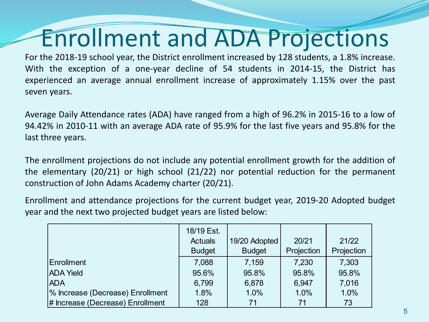## Enrollment and ADA Projections

For the 2018-19 school year, the District enrollment increased by 128 students, a 1.8% increase. With the exception of a one-year decline of 54 students in 2014-15, the District has experienced an average annual enrollment increase of approximately 1.15% over the past seven years.

Average Daily Attendance rates (ADA) have ranged from a high of 96.2% in 2015-16 to a low of 94.42% in 2010-11 with an average ADA rate of 95.9% for the last five years and 95.8% for the last three years.

The enrollment projections do not include any potential enrollment growth for the addition of the elementary (20/21) or high school (21/22) nor potential reduction for the permanent construction of John Adams Academy charter (20/21).

Enrollment and attendance projections for the current budget year, 2019-20 Adopted budget year and the next two projected budget years are listed below:

|                                  | 18/19 Est.     |               |            |            |
|----------------------------------|----------------|---------------|------------|------------|
|                                  | <b>Actuals</b> | 19/20 Adopted | 20/21      | 21/22      |
|                                  | <b>Budget</b>  | <b>Budget</b> | Projection | Projection |
| Enrollment                       | 7,088          | 7,159         | 7,230      | 7,303      |
| <b>ADA Yield</b>                 | 95.6%          | 95.8%         | 95.8%      | 95.8%      |
| <b>ADA</b>                       | 6,799          | 6,878         | 6,947      | 7,016      |
| % Increase (Decrease) Enrollment | 1.8%           | 1.0%          | 1.0%       | 1.0%       |
| # Increase (Decrease) Enrollment | 128            | 71            | 71         | 73         |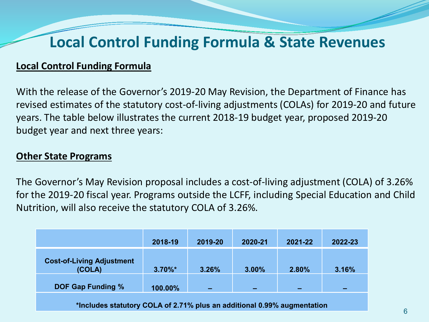### **Local Control Funding Formula & State Revenues**

#### **Local Control Funding Formula**

With the release of the Governor's 2019-20 May Revision, the Department of Finance has revised estimates of the statutory cost-of-living adjustments (COLAs) for 2019-20 and future years. The table below illustrates the current 2018-19 budget year, proposed 2019-20 budget year and next three years:

#### **Other State Programs**

The Governor's May Revision proposal includes a cost-of-living adjustment (COLA) of 3.26% for the 2019-20 fiscal year. Programs outside the LCFF, including Special Education and Child Nutrition, will also receive the statutory COLA of 3.26%.

|                                                                         | 2018-19    | 2019-20 | 2020-21 | 2021-22 | 2022-23 |  |  |
|-------------------------------------------------------------------------|------------|---------|---------|---------|---------|--|--|
| <b>Cost-of-Living Adjustment</b><br>(COLA)                              | $3.70\%$ * | 3.26%   | 3.00%   | 2.80%   | 3.16%   |  |  |
| <b>DOF Gap Funding %</b>                                                | 100.00%    |         |         |         |         |  |  |
| *Includes statutory COLA of 2.71% plus an additional 0.99% augmentation |            |         |         |         |         |  |  |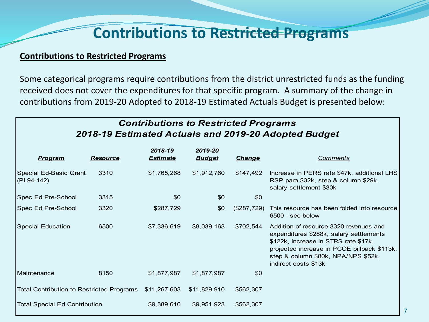### **Contributions to Restricted Programs**

#### **Contributions to Restricted Programs**

Some categorical programs require contributions from the district unrestricted funds as the funding received does not cover the expenditures for that specific program. A summary of the change in contributions from 2019-20 Adopted to 2018-19 Estimated Actuals Budget is presented below:

#### *Contributions to Restricted Programs 2018-19 Estimated Actuals and 2019-20 Adopted Budget*

| <u>Program</u>                            | <b>Resource</b> | 2018-19<br><b>Estimate</b> | 2019-20<br><b>Budget</b> | <b>Change</b> | <b>Comments</b>                                                                                                                                                                                                                         |
|-------------------------------------------|-----------------|----------------------------|--------------------------|---------------|-----------------------------------------------------------------------------------------------------------------------------------------------------------------------------------------------------------------------------------------|
| Special Ed-Basic Grant<br>(PL94-142)      | 3310            | \$1,765,268                | \$1,912,760              | \$147,492     | Increase in PERS rate \$47k, additional LHS<br>RSP para \$32k, step & column \$29k,<br>salary settlement \$30k                                                                                                                          |
| Spec Ed Pre-School                        | 3315            | \$0                        | \$0                      | \$0           |                                                                                                                                                                                                                                         |
| Spec Ed Pre-School                        | 3320            | \$287,729                  | \$0                      | (\$287,729)   | This resource has been folded into resource<br>6500 - see below                                                                                                                                                                         |
| <b>Special Education</b>                  | 6500            | \$7,336,619                | \$8,039,163              | \$702,544     | Addition of resource 3320 revenues and<br>expenditures \$288k, salary settlements<br>\$122k, increase in STRS rate \$17k,<br>projected increase in PCOE billback \$113k,<br>step & column \$80k, NPA/NPS \$52k,<br>indirect costs \$13k |
| Maintenance                               | 8150            | \$1,877,987                | \$1,877,987              | \$0           |                                                                                                                                                                                                                                         |
| Total Contribution to Restricted Programs |                 | \$11,267,603               | \$11,829,910             | \$562,307     |                                                                                                                                                                                                                                         |
| <b>Total Special Ed Contribution</b>      |                 | \$9,389,616                | \$9,951,923              | \$562,307     |                                                                                                                                                                                                                                         |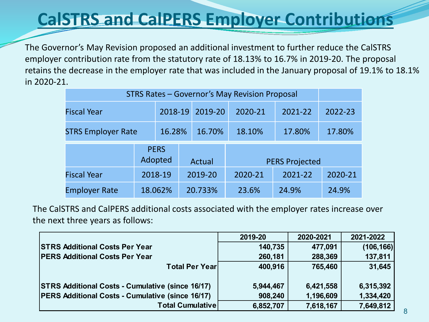## **CalSTRS and CalPERS Employer Contributions**

The Governor's May Revision proposed an additional investment to further reduce the CalSTRS employer contribution rate from the statutory rate of 18.13% to 16.7% in 2019-20. The proposal retains the decrease in the employer rate that was included in the January proposal of 19.1% to 18.1% in 2020-21.

| STRS Rates - Governor's May Revision Proposal |  |                        |         |         |                       |         |         |         |         |  |         |
|-----------------------------------------------|--|------------------------|---------|---------|-----------------------|---------|---------|---------|---------|--|---------|
| <b>Fiscal Year</b>                            |  | 2018-19                |         | 2019-20 |                       | 2020-21 | 2021-22 |         | 2022-23 |  |         |
| <b>STRS Employer Rate</b>                     |  | 16.28%<br>16.70%       |         |         | 17.80%<br>18.10%      |         |         | 17.80%  |         |  |         |
|                                               |  | <b>PERS</b><br>Adopted |         | Actual  | <b>PERS Projected</b> |         |         |         |         |  |         |
| <b>Fiscal Year</b>                            |  | 2018-19                | 2019-20 |         |                       |         |         | 2020-21 | 2021-22 |  | 2020-21 |
| <b>Employer Rate</b>                          |  | 18.062%                |         | 20.733% |                       | 23.6%   | 24.9%   |         | 24.9%   |  |         |

The CalSTRS and CalPERS additional costs associated with the employer rates increase over the next three years as follows:

|                                                         | 2019-20   | 2020-2021 | 2021-2022  |
|---------------------------------------------------------|-----------|-----------|------------|
| <b>STRS Additional Costs Per Year</b>                   | 140,735   | 477,091   | (106, 166) |
| <b>PERS Additional Costs Per Year</b>                   | 260,181   | 288,369   | 137,811    |
| <b>Total Per Yearl</b>                                  | 400,916   | 765,460   | 31,645     |
|                                                         |           |           |            |
| <b>STRS Additional Costs - Cumulative (since 16/17)</b> | 5,944,467 | 6,421,558 | 6,315,392  |
| <b>PERS Additional Costs - Cumulative (since 16/17)</b> | 908,240   | 1,196,609 | 1,334,420  |
| <b>Total Cumulative</b>                                 | 6,852,707 | 7,618,167 | 7,649,812  |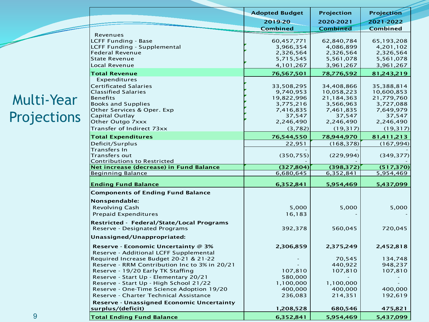### Multi-Year Projections

 $\overline{\phantom{a}}$ 

|                                                                                     | <b>Adopted Budget</b> | Projection      | <b>Projection</b> |
|-------------------------------------------------------------------------------------|-----------------------|-----------------|-------------------|
|                                                                                     | 2019-20               | 2020-2021       | 2021-2022         |
|                                                                                     | Combined              | <b>Combined</b> | <b>Combined</b>   |
| Revenues                                                                            |                       |                 |                   |
| <b>LCFF Funding - Base</b>                                                          | 60,457,771            | 62,840,784      | 65,193,208        |
| LCFF Funding - Supplemental                                                         | 3,966,354             | 4,086,899       | 4,201,102         |
| <b>Federal Revenue</b>                                                              | 2,326,564             | 2,326,564       | 2,326,564         |
| <b>State Revenue</b>                                                                | 5,715,545             | 5,561,078       | 5,561,078         |
| Local Revenue                                                                       | 4,101,267             | 3,961,267       | 3,961,267         |
| <b>Total Revenue</b>                                                                | 76,567,501            | 78,776,592      | 81,243,219        |
| Expenditures                                                                        |                       |                 |                   |
| <b>Certificated Salaries</b>                                                        | 33,508,295            | 34,408,866      | 35,388,814        |
| <b>Classified Salaries</b>                                                          | 9,740,953             | 10,058,223      | 10,600,853        |
| <b>Benefits</b>                                                                     | 19,822,996            | 21,184,363      | 21,779,760        |
| <b>Books and Supplies</b>                                                           | 3,775,216             | 3,566,963       | 3,727,088         |
| Other Services & Oper. Exp                                                          | 7,416,835             | 7,461,835       | 7,649,979         |
| Capital Outlay                                                                      | 37,547                | 37,547          | 37,547            |
| Other Outgo 7xxx                                                                    | 2,246,490             | 2,246,490       | 2,246,490         |
| Transfer of Indirect 73xx                                                           | (3,782)               | (19,317)        | (19, 317)         |
| <b>Total Expenditures</b>                                                           | 76,544,550            | 78,944,970      | 81,411,213        |
| Deficit/Surplus                                                                     | 22,951                | (168, 378)      | (167, 994)        |
| Transfers In                                                                        |                       |                 |                   |
| <b>Transfers out</b>                                                                | (350, 755)            | (229, 994)      | (349, 377)        |
| <b>Contributions to Restricted</b>                                                  |                       |                 |                   |
| Net increase (decrease) in Fund Balance                                             | (327, 804)            | (398, 372)      | (517, 370)        |
| <b>Beginning Balance</b>                                                            | 6,680,645             | 6,352,841       | 5,954,469         |
| <b>Ending Fund Balance</b>                                                          | 6,352,841             | 5,954,469       | 5,437,099         |
| <b>Components of Ending Fund Balance</b>                                            |                       |                 |                   |
| Nonspendable:                                                                       |                       |                 |                   |
|                                                                                     |                       |                 |                   |
| <b>Revolving Cash</b>                                                               | 5,000                 | 5,000           | 5,000             |
| <b>Prepaid Expenditures</b>                                                         | 16,183                |                 |                   |
| Restricted - Federal/State/Local Programs                                           |                       |                 |                   |
| Reserve - Designated Programs                                                       | 392,378               | 560,045         | 720,045           |
| Unassigned/Unappropriated:                                                          |                       |                 |                   |
| Reserve - Economic Uncertainty @ 3%                                                 | 2,306,859             | 2,375,249       | 2,452,818         |
| Reserve - Additional LCFF Supplemental                                              |                       |                 |                   |
| Required Increase Budget 20-21 & 21-22                                              |                       | 70,545          | 134,748           |
| Reserve - RRM Contribution Inc to 3% in 20/21                                       |                       | 440,922         | 948,237           |
| Reserve - 19/20 Early TK Staffing                                                   | 107,810               | 107,810         | 107,810           |
| Reserve - Start Up - Elementary 20/21                                               |                       |                 |                   |
| Reserve - Start Up - High School 21/22                                              | 580,000<br>1,100,000  | 1,100,000       |                   |
|                                                                                     | 400,000               |                 |                   |
| Reserve - One-Time Science Adoption 19/20<br>Reserve - Charter Technical Assistance | 236,083               | 400,000         | 400,000           |
|                                                                                     |                       | 214,351         | 192,619           |
| <b>Reserve - Unassigned Economic Uncertainty</b><br>surplus/(deficit)               | 1,208,528             | 680,546         | 475,821           |
|                                                                                     |                       |                 |                   |
| <b>Total Ending Fund Balance</b>                                                    | 6,352,841             | 5,954,469       | 5,437,099         |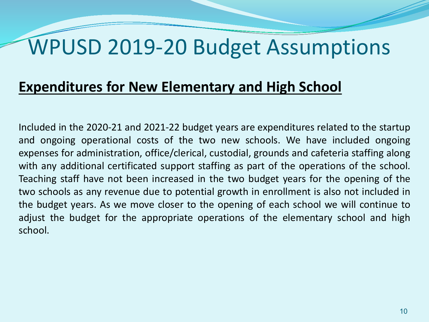## WPUSD 2019-20 Budget Assumptions

### **Expenditures for New Elementary and High School**

Included in the 2020-21 and 2021-22 budget years are expenditures related to the startup and ongoing operational costs of the two new schools. We have included ongoing expenses for administration, office/clerical, custodial, grounds and cafeteria staffing along with any additional certificated support staffing as part of the operations of the school. Teaching staff have not been increased in the two budget years for the opening of the two schools as any revenue due to potential growth in enrollment is also not included in the budget years. As we move closer to the opening of each school we will continue to adjust the budget for the appropriate operations of the elementary school and high school.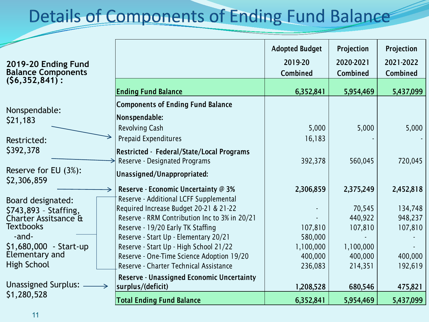## **Details of Components of Ending Fund Balance**

Combined Combined Combined

Projection

Projection

2021-2022

Adopted Budget

2019-20

2020-2021

| 2019-20 Ending Fund       |
|---------------------------|
| <b>Balance Components</b> |
| $(56, 352, 841)$ :        |

| <b>Ending Fund Balance</b>                       | 6,352,841                                                  | 5,954,469 | 5,437,099 |
|--------------------------------------------------|------------------------------------------------------------|-----------|-----------|
| <b>Components of Ending Fund Balance</b>         |                                                            |           |           |
|                                                  |                                                            |           |           |
| <b>Revolving Cash</b>                            | 5,000                                                      | 5,000     | 5,000     |
| <b>Prepaid Expenditures</b>                      | 16,183                                                     |           |           |
|                                                  |                                                            |           |           |
| Reserve - Designated Programs                    | 392,378                                                    | 560,045   | 720,045   |
| Unassigned/Unappropriated:                       |                                                            |           |           |
| Reserve - Economic Uncertainty @ 3%              | 2,306,859                                                  | 2,375,249 | 2,452,818 |
| Reserve - Additional LCFF Supplemental           |                                                            |           |           |
| Required Increase Budget 20-21 & 21-22           |                                                            | 70,545    | 134,748   |
| Reserve - RRM Contribution Inc to 3% in 20/21    |                                                            | 440,922   | 948,237   |
| Reserve - 19/20 Early TK Staffing                | 107,810                                                    | 107,810   | 107,810   |
| Reserve - Start Up - Elementary 20/21            | 580,000                                                    |           |           |
| Reserve - Start Up - High School 21/22           | 1,100,000                                                  | 1,100,000 |           |
| Reserve - One-Time Science Adoption 19/20        | 400,000                                                    | 400,000   | 400,000   |
| Reserve - Charter Technical Assistance           | 236,083                                                    | 214,351   | 192,619   |
| <b>Reserve - Unassigned Economic Uncertainty</b> |                                                            |           |           |
| surplus/(deficit)                                | 1,208,528                                                  | 680,546   | 475,821   |
| <b>Total Ending Fund Balance</b>                 | 6,352,841                                                  | 5,954,469 | 5,437,099 |
|                                                  | Nonspendable:<br>Restricted - Federal/State/Local Programs |           |           |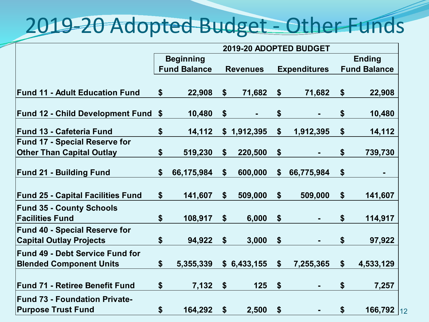## 2019-20 Adopted Budget - Other Funds

| 2019-20 ADOPTED BUDGET                        |            |                                         |                |                                                                                        |             |                     |                     |
|-----------------------------------------------|------------|-----------------------------------------|----------------|----------------------------------------------------------------------------------------|-------------|---------------------|---------------------|
|                                               |            |                                         |                |                                                                                        |             |                     | <b>Ending</b>       |
|                                               |            |                                         |                |                                                                                        |             |                     | <b>Fund Balance</b> |
|                                               |            |                                         |                |                                                                                        |             |                     |                     |
| \$                                            | 22,908     |                                         | 71,682         | $\boldsymbol{\$}$                                                                      | 71,682      | \$                  | 22,908              |
| <b>Fund 12 - Child Development Fund</b><br>\$ | 10,480     | \$                                      | $\blacksquare$ | \$                                                                                     | ٠           | \$                  | 10,480              |
| \$                                            | 14,112     |                                         |                | \$                                                                                     | 1,912,395   | \$                  | 14,112              |
|                                               |            |                                         |                |                                                                                        |             |                     |                     |
| \$                                            | 519,230    |                                         | 220,500        | \$                                                                                     |             | \$                  | 739,730             |
| \$                                            | 66,175,984 | \$                                      | 600,000        | \$                                                                                     | 66,775,984  | \$                  | ۰                   |
| \$                                            | 141,607    |                                         | 509,000        | \$                                                                                     | 509,000     | \$                  | 141,607             |
| \$                                            | 108,917    | \$                                      | 6,000          | \$                                                                                     |             | \$                  | 114,917             |
| \$                                            | 94,922     | $\boldsymbol{\$}$                       | 3,000          | \$                                                                                     |             | \$                  | 97,922              |
| \$                                            | 5,355,339  |                                         |                | $\boldsymbol{\$}$                                                                      | 7,255,365   | \$                  | 4,533,129           |
| \$                                            | 7,132      | $\boldsymbol{\hat{\varphi}}$            | 125            | $\boldsymbol{\$}$                                                                      |             | \$                  | 7,257               |
|                                               |            |                                         |                |                                                                                        |             |                     | 166,792 12          |
|                                               | \$         | <b>Beginning</b><br><b>Fund Balance</b> | \$<br>164,292  | <b>Revenues</b><br>$\boldsymbol{\mathsf{s}}$<br>\$1,912,395<br>\$<br>\$<br>\$6,433,155 | 2,500<br>\$ | <b>Expenditures</b> | \$                  |